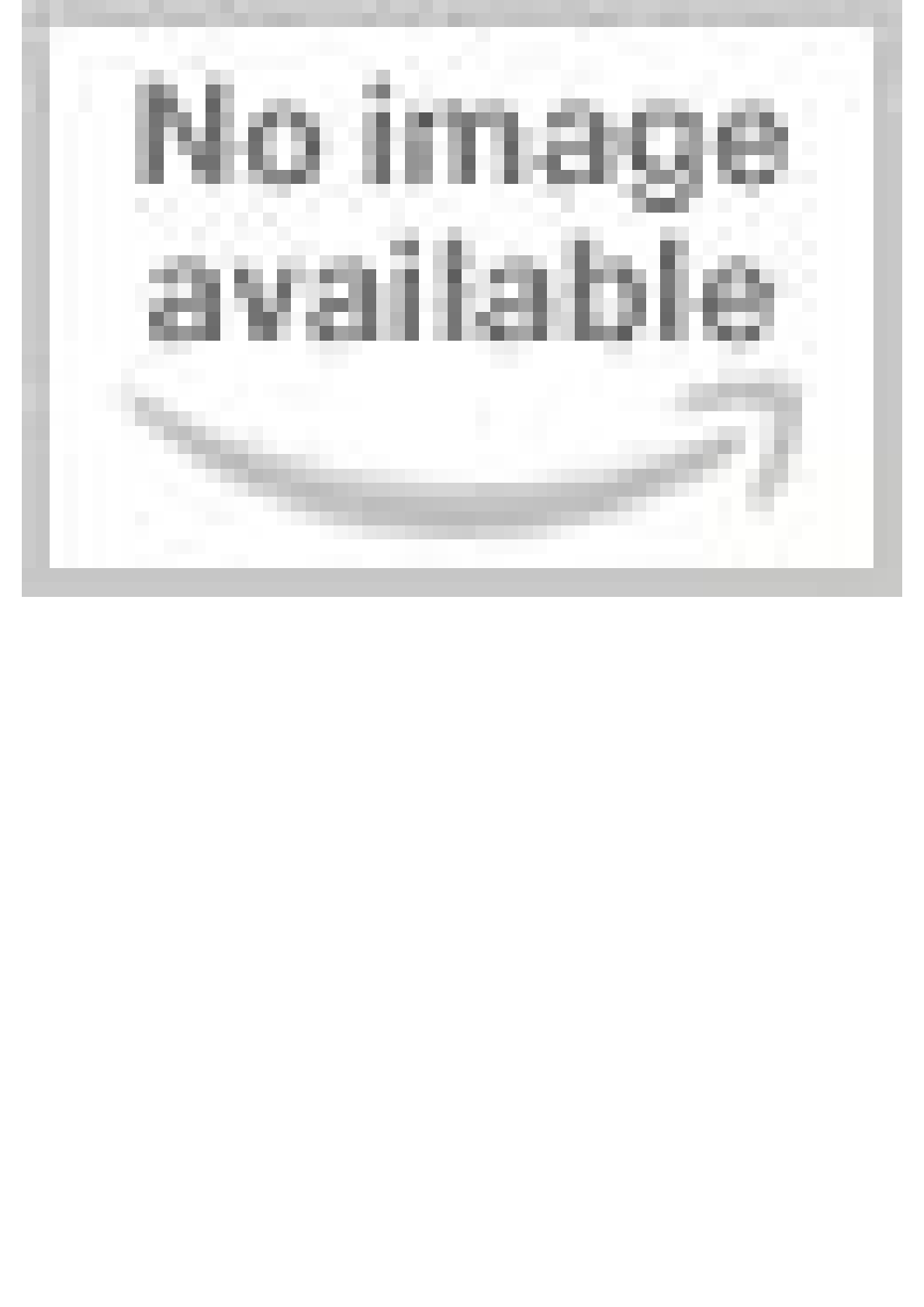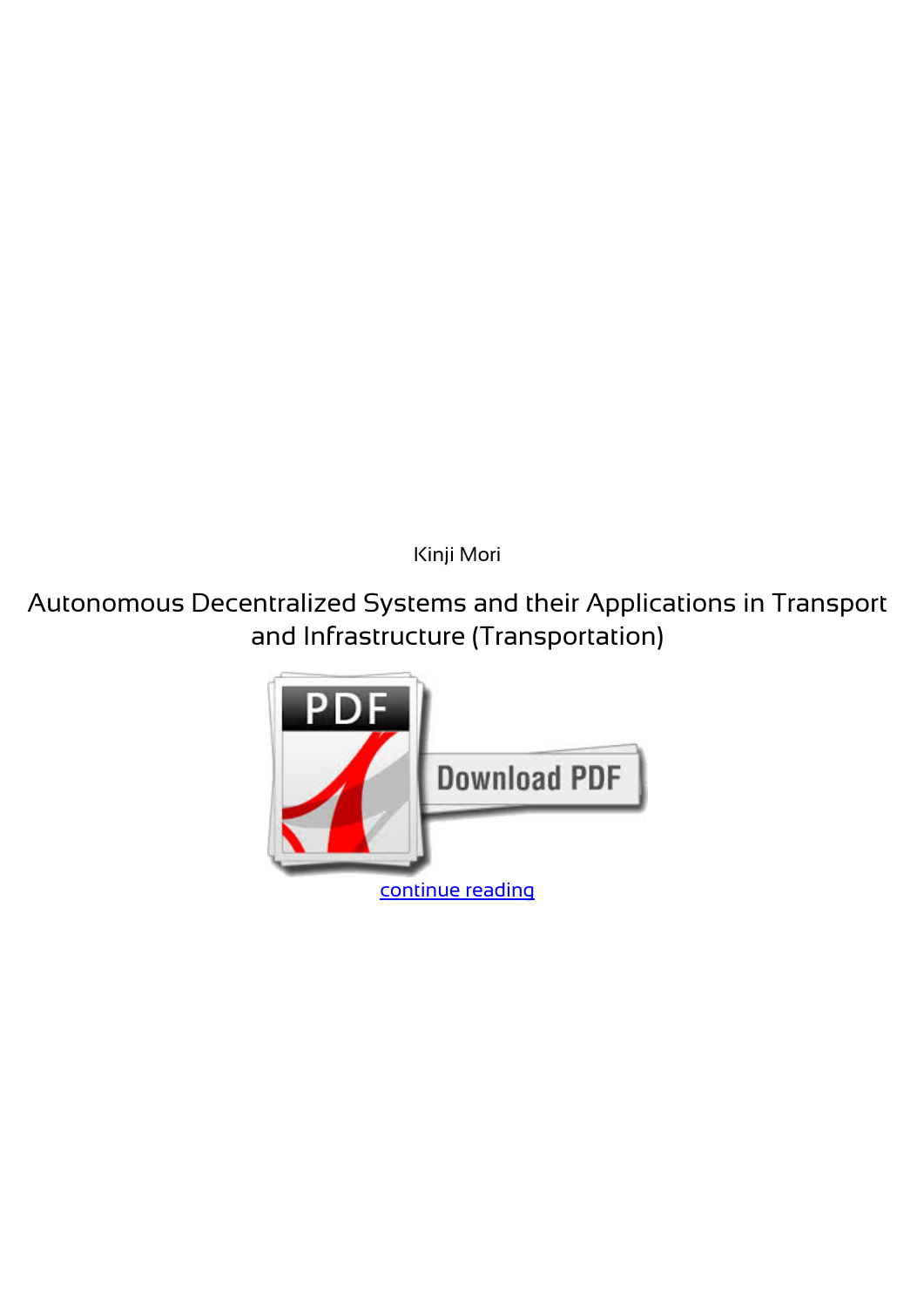*Kinji Mori*

**Autonomous Decentralized Systems and their Applications in Transport and Infrastructure (Transportation)**

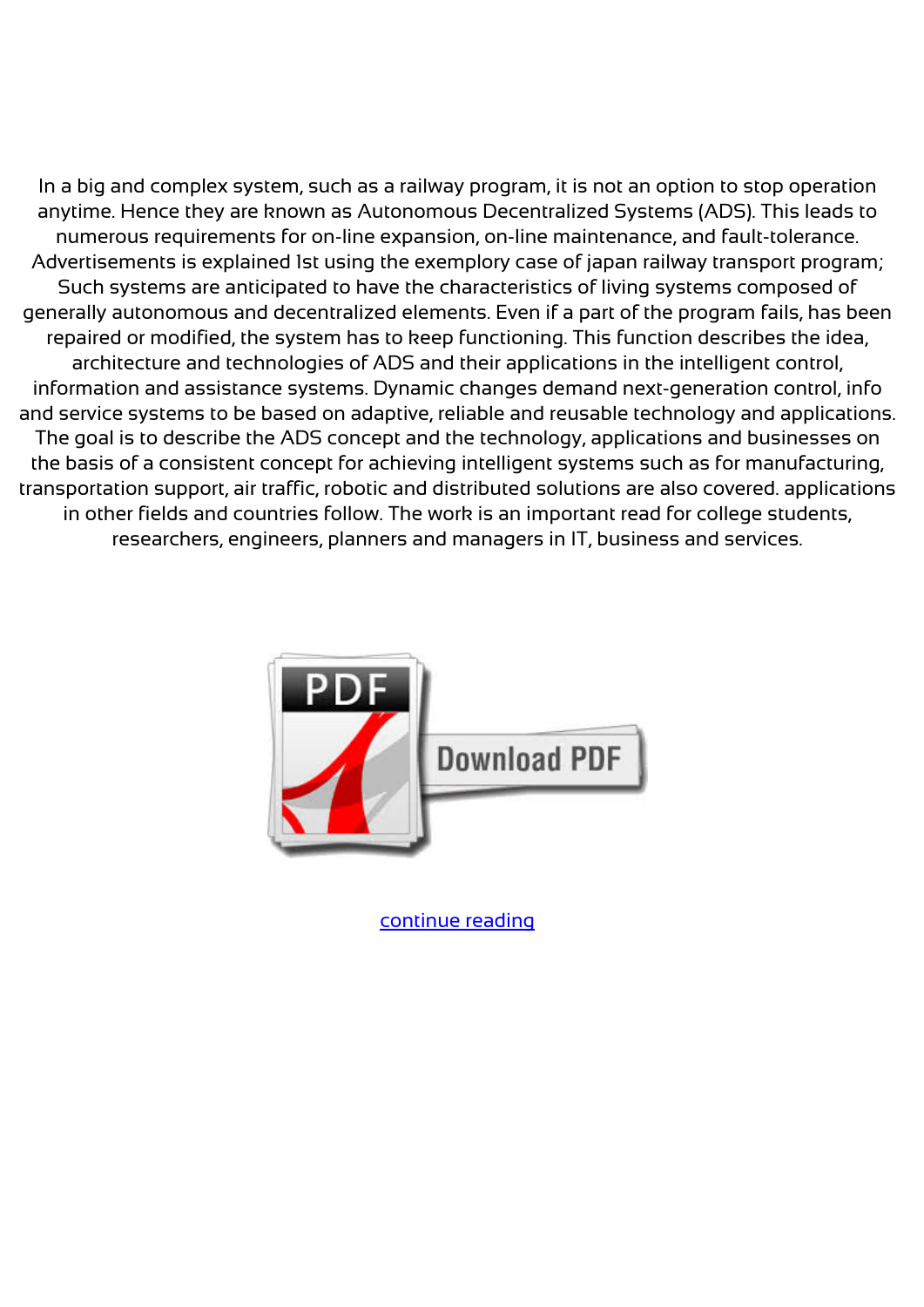In a big and complex system, such as a railway program, it is not an option to stop operation anytime. Hence they are known as Autonomous Decentralized Systems (ADS). This leads to numerous requirements for on-line expansion, on-line maintenance, and fault-tolerance. Advertisements is explained 1st using the exemplory case of japan railway transport program; Such systems are anticipated to have the characteristics of living systems composed of generally autonomous and decentralized elements. Even if a part of the program fails, has been repaired or modified, the system has to keep functioning. This function describes the idea, architecture and technologies of ADS and their applications in the intelligent control, information and assistance systems. Dynamic changes demand next-generation control, info and service systems to be based on adaptive, reliable and reusable technology and applications. The goal is to describe the ADS concept and the technology, applications and businesses on the basis of a consistent concept for achieving intelligent systems such as for manufacturing, transportation support, air traffic, robotic and distributed solutions are also covered. applications in other fields and countries follow. The work is an important read for college students, researchers, engineers, planners and managers in IT, business and services.



[continue reading](http://bit.ly/2Tge8Fv)